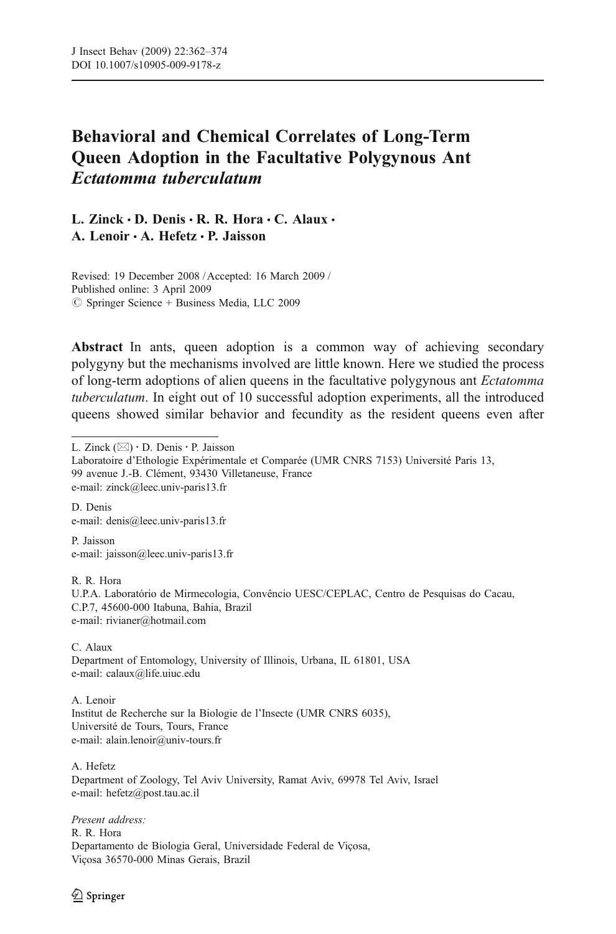# Behavioral and Chemical Correlates of Long-Term Queen Adoption in the Facultative Polygynous Ant Ectatomma tuberculatum

L. Zinck  $\cdot$  D. Denis  $\cdot$  R. R. Hora  $\cdot$  C. Alaux  $\cdot$ A. Lenoir · A. Hefetz · P. Jaisson

Revised: 19 December 2008 / Accepted: 16 March 2009 / Published online: 3 April 2009  $\oslash$  Springer Science + Business Media, LLC 2009

Abstract In ants, queen adoption is a common way of achieving secondary polygyny but the mechanisms involved are little known. Here we studied the process of long-term adoptions of alien queens in the facultative polygynous ant Ectatomma tuberculatum. In eight out of 10 successful adoption experiments, all the introduced queens showed similar behavior and fecundity as the resident queens even after

L. Zinck (*\**) : D. Denis : P. Jaisson

D. Denis e-mail: denis@leec.univ-paris13.fr

P. Jaisson e-mail: jaisson@leec.univ-paris13.fr

R. R. Hora

U.P.A. Laboratório de Mirmecologia, Convêncio UESC/CEPLAC, Centro de Pesquisas do Cacau, C.P.7, 45600-000 Itabuna, Bahia, Brazil e-mail: rivianer@hotmail.com

C. Alaux Department of Entomology, University of Illinois, Urbana, IL 61801, USA e-mail: calaux@life.uiuc.edu

A. Lenoir Institut de Recherche sur la Biologie de l'Insecte (UMR CNRS 6035), Université de Tours, Tours, France e-mail: alain.lenoir@univ-tours.fr

A. Hefetz Department of Zoology, Tel Aviv University, Ramat Aviv, 69978 Tel Aviv, Israel e-mail: hefetz@post.tau.ac.il

Present address: R. R. Hora Departamento de Biologia Geral, Universidade Federal de Viçosa, Viçosa 36570-000 Minas Gerais, Brazil

 $\textcircled{2}$  Springer

Laboratoire d'Ethologie Expérimentale et Comparée (UMR CNRS 7153) Université Paris 13, 99 avenue J.-B. Clément, 93430 Villetaneuse, France e-mail: zinck@leec.univ-paris13.fr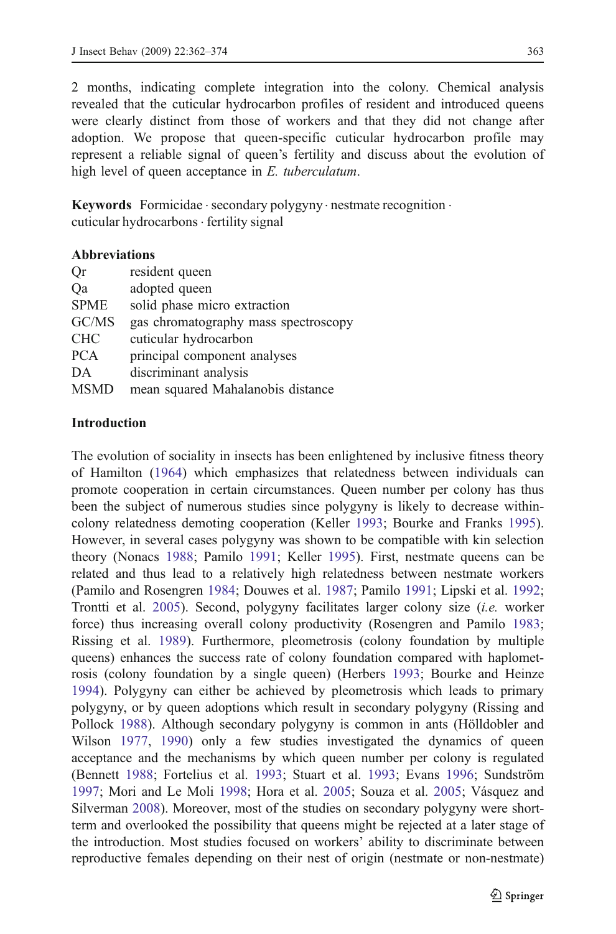2 months, indicating complete integration into the colony. Chemical analysis revealed that the cuticular hydrocarbon profiles of resident and introduced queens were clearly distinct from those of workers and that they did not change after adoption. We propose that queen-specific cuticular hydrocarbon profile may represent a reliable signal of queen's fertility and discuss about the evolution of high level of queen acceptance in E. tuberculatum.

**Keywords** Formicidae  $\cdot$  secondary polygyny  $\cdot$  nestmate recognition  $\cdot$ cuticular hydrocarbons . fertility signal

#### Abbreviations

| Qr          | resident queen                       |
|-------------|--------------------------------------|
| Qa          | adopted queen                        |
| <b>SPME</b> | solid phase micro extraction         |
| GC/MS       | gas chromatography mass spectroscopy |
| <b>CHC</b>  | cuticular hydrocarbon                |
| <b>PCA</b>  | principal component analyses         |
| DA          | discriminant analysis                |
| <b>MSMD</b> | mean squared Mahalanobis distance    |
|             |                                      |

#### Introduction

The evolution of sociality in insects has been enlightened by inclusive fitness theory of Hamilton [\(1964](#page-11-0)) which emphasizes that relatedness between individuals can promote cooperation in certain circumstances. Queen number per colony has thus been the subject of numerous studies since polygyny is likely to decrease withincolony relatedness demoting cooperation (Keller [1993;](#page-11-0) Bourke and Franks [1995\)](#page-11-0). However, in several cases polygyny was shown to be compatible with kin selection theory (Nonacs [1988](#page-12-0); Pamilo [1991;](#page-12-0) Keller [1995\)](#page-11-0). First, nestmate queens can be related and thus lead to a relatively high relatedness between nestmate workers (Pamilo and Rosengren [1984](#page-12-0); Douwes et al. [1987](#page-11-0); Pamilo [1991;](#page-12-0) Lipski et al. [1992;](#page-12-0) Trontti et al. [2005\)](#page-12-0). Second, polygyny facilitates larger colony size (i.e. worker force) thus increasing overall colony productivity (Rosengren and Pamilo [1983;](#page-12-0) Rissing et al. [1989](#page-12-0)). Furthermore, pleometrosis (colony foundation by multiple queens) enhances the success rate of colony foundation compared with haplometrosis (colony foundation by a single queen) (Herbers [1993;](#page-11-0) Bourke and Heinze [1994\)](#page-11-0). Polygyny can either be achieved by pleometrosis which leads to primary polygyny, or by queen adoptions which result in secondary polygyny (Rissing and Pollock [1988](#page-12-0)). Although secondary polygyny is common in ants (Hölldobler and Wilson [1977,](#page-11-0) [1990](#page-11-0)) only a few studies investigated the dynamics of queen acceptance and the mechanisms by which queen number per colony is regulated (Bennett [1988](#page-11-0); Fortelius et al. [1993;](#page-11-0) Stuart et al. [1993](#page-12-0); Evans [1996](#page-11-0); Sundström [1997;](#page-12-0) Mori and Le Moli [1998](#page-12-0); Hora et al. [2005;](#page-11-0) Souza et al. [2005;](#page-12-0) Vásquez and Silverman [2008\)](#page-12-0). Moreover, most of the studies on secondary polygyny were shortterm and overlooked the possibility that queens might be rejected at a later stage of the introduction. Most studies focused on workers' ability to discriminate between reproductive females depending on their nest of origin (nestmate or non-nestmate)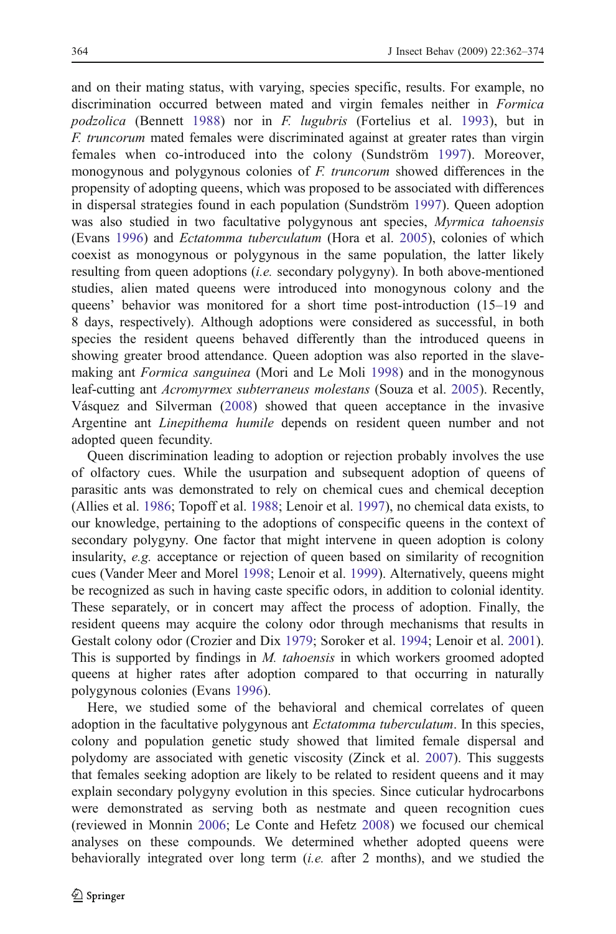and on their mating status, with varying, species specific, results. For example, no discrimination occurred between mated and virgin females neither in Formica podzolica (Bennett [1988](#page-11-0)) nor in F. lugubris (Fortelius et al. [1993](#page-11-0)), but in F. truncorum mated females were discriminated against at greater rates than virgin females when co-introduced into the colony (Sundström [1997](#page-12-0)). Moreover, monogynous and polygynous colonies of F. truncorum showed differences in the propensity of adopting queens, which was proposed to be associated with differences in dispersal strategies found in each population (Sundström [1997](#page-12-0)). Queen adoption was also studied in two facultative polygynous ant species, Myrmica tahoensis (Evans [1996](#page-11-0)) and Ectatomma tuberculatum (Hora et al. [2005](#page-11-0)), colonies of which coexist as monogynous or polygynous in the same population, the latter likely resulting from queen adoptions *(i.e.* secondary polygyny). In both above-mentioned studies, alien mated queens were introduced into monogynous colony and the queens' behavior was monitored for a short time post-introduction (15–19 and 8 days, respectively). Although adoptions were considered as successful, in both species the resident queens behaved differently than the introduced queens in showing greater brood attendance. Queen adoption was also reported in the slavemaking ant *Formica sanguinea* (Mori and Le Moli [1998\)](#page-12-0) and in the monogynous leaf-cutting ant Acromyrmex subterraneus molestans (Souza et al. [2005](#page-12-0)). Recently, Vásquez and Silverman [\(2008](#page-12-0)) showed that queen acceptance in the invasive Argentine ant Linepithema humile depends on resident queen number and not adopted queen fecundity.

Queen discrimination leading to adoption or rejection probably involves the use of olfactory cues. While the usurpation and subsequent adoption of queens of parasitic ants was demonstrated to rely on chemical cues and chemical deception (Allies et al. [1986](#page-11-0); Topoff et al. [1988;](#page-12-0) Lenoir et al. [1997\)](#page-12-0), no chemical data exists, to our knowledge, pertaining to the adoptions of conspecific queens in the context of secondary polygyny. One factor that might intervene in queen adoption is colony insularity, e.g. acceptance or rejection of queen based on similarity of recognition cues (Vander Meer and Morel [1998](#page-12-0); Lenoir et al. [1999\)](#page-12-0). Alternatively, queens might be recognized as such in having caste specific odors, in addition to colonial identity. These separately, or in concert may affect the process of adoption. Finally, the resident queens may acquire the colony odor through mechanisms that results in Gestalt colony odor (Crozier and Dix [1979](#page-11-0); Soroker et al. [1994](#page-12-0); Lenoir et al. [2001\)](#page-12-0). This is supported by findings in *M. tahoensis* in which workers groomed adopted queens at higher rates after adoption compared to that occurring in naturally polygynous colonies (Evans [1996\)](#page-11-0).

Here, we studied some of the behavioral and chemical correlates of queen adoption in the facultative polygynous ant *Ectatomma tuberculatum*. In this species, colony and population genetic study showed that limited female dispersal and polydomy are associated with genetic viscosity (Zinck et al. [2007\)](#page-12-0). This suggests that females seeking adoption are likely to be related to resident queens and it may explain secondary polygyny evolution in this species. Since cuticular hydrocarbons were demonstrated as serving both as nestmate and queen recognition cues (reviewed in Monnin [2006](#page-12-0); Le Conte and Hefetz [2008](#page-11-0)) we focused our chemical analyses on these compounds. We determined whether adopted queens were behaviorally integrated over long term (i.e. after 2 months), and we studied the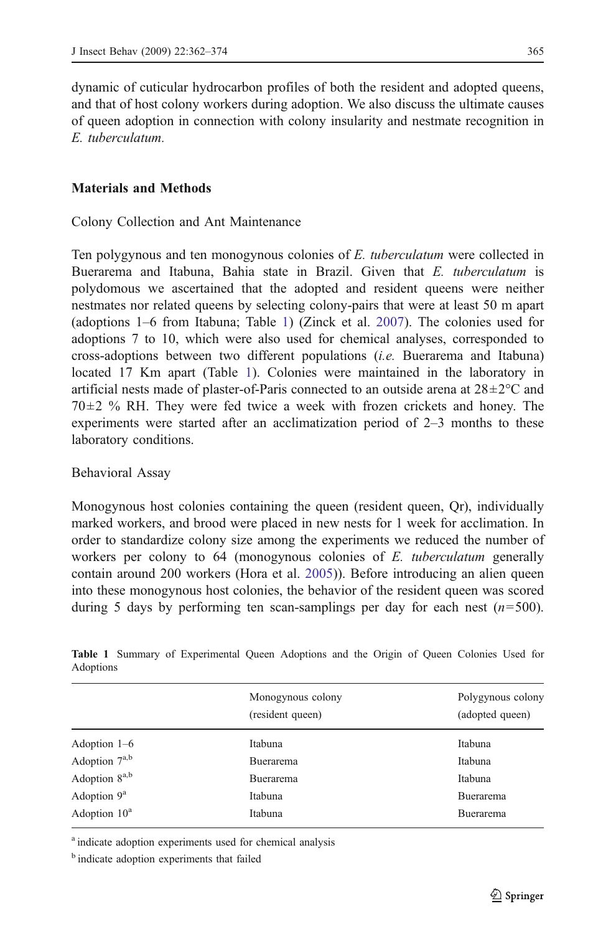<span id="page-3-0"></span>dynamic of cuticular hydrocarbon profiles of both the resident and adopted queens, and that of host colony workers during adoption. We also discuss the ultimate causes of queen adoption in connection with colony insularity and nestmate recognition in E. tuberculatum.

# Materials and Methods

Colony Collection and Ant Maintenance

Ten polygynous and ten monogynous colonies of E. tuberculatum were collected in Buerarema and Itabuna, Bahia state in Brazil. Given that E. tuberculatum is polydomous we ascertained that the adopted and resident queens were neither nestmates nor related queens by selecting colony-pairs that were at least 50 m apart (adoptions 1–6 from Itabuna; Table 1) (Zinck et al. [2007\)](#page-12-0). The colonies used for adoptions 7 to 10, which were also used for chemical analyses, corresponded to cross-adoptions between two different populations (i.e. Buerarema and Itabuna) located 17 Km apart (Table 1). Colonies were maintained in the laboratory in artificial nests made of plaster-of-Paris connected to an outside arena at  $28 \pm 2^{\circ}$ C and  $70\pm2\%$  RH. They were fed twice a week with frozen crickets and honey. The experiments were started after an acclimatization period of 2–3 months to these laboratory conditions.

#### Behavioral Assay

Monogynous host colonies containing the queen (resident queen, Qr), individually marked workers, and brood were placed in new nests for 1 week for acclimation. In order to standardize colony size among the experiments we reduced the number of workers per colony to 64 (monogynous colonies of E. tuberculatum generally contain around 200 workers (Hora et al. [2005\)](#page-11-0)). Before introducing an alien queen into these monogynous host colonies, the behavior of the resident queen was scored during 5 days by performing ten scan-samplings per day for each nest  $(n=500)$ .

|                           | Monogynous colony<br>(resident queen) | Polygynous colony<br>(adopted queen) |
|---------------------------|---------------------------------------|--------------------------------------|
| Adoption $1-6$            | Itabuna                               | Itabuna                              |
| Adoption 7a,b             | Buerarema                             | Itabuna                              |
| Adoption 8 <sup>a,b</sup> | Buerarema                             | Itabuna                              |
| Adoption $9^a$            | Itabuna                               | <b>Buerarema</b>                     |
| Adoption $10^a$           | Itabuna                               | Buerarema                            |
|                           |                                       |                                      |

Table 1 Summary of Experimental Queen Adoptions and the Origin of Queen Colonies Used for Adoptions

<sup>a</sup> indicate adoption experiments used for chemical analysis

<sup>&</sup>lt;sup>b</sup> indicate adoption experiments that failed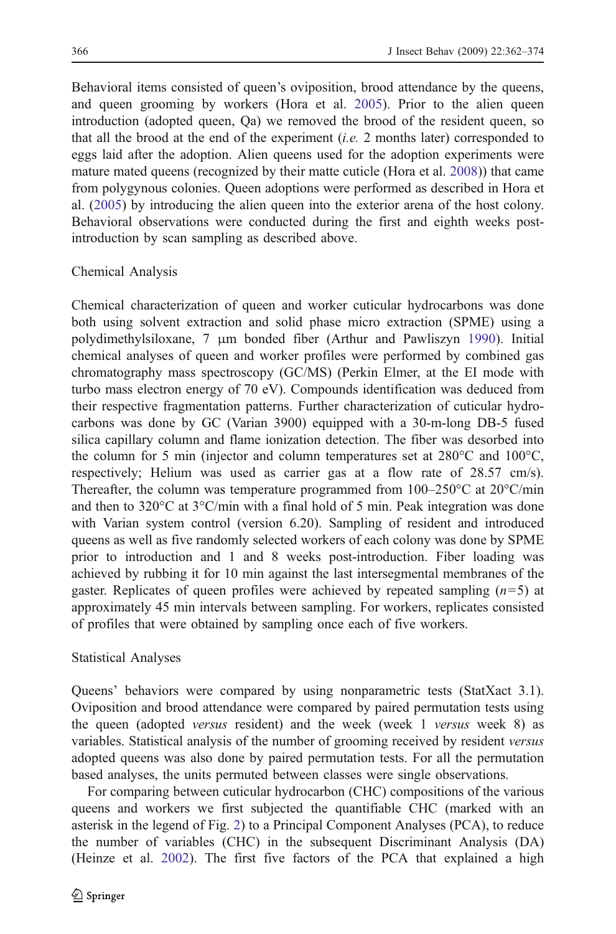Behavioral items consisted of queen's oviposition, brood attendance by the queens, and queen grooming by workers (Hora et al. [2005\)](#page-11-0). Prior to the alien queen introduction (adopted queen, Qa) we removed the brood of the resident queen, so that all the brood at the end of the experiment (*i.e.* 2 months later) corresponded to eggs laid after the adoption. Alien queens used for the adoption experiments were mature mated queens (recognized by their matte cuticle (Hora et al. [2008](#page-11-0))) that came from polygynous colonies. Queen adoptions were performed as described in Hora et al. [\(2005](#page-11-0)) by introducing the alien queen into the exterior arena of the host colony. Behavioral observations were conducted during the first and eighth weeks postintroduction by scan sampling as described above.

## Chemical Analysis

Chemical characterization of queen and worker cuticular hydrocarbons was done both using solvent extraction and solid phase micro extraction (SPME) using a polydimethylsiloxane, 7 μm bonded fiber (Arthur and Pawliszyn [1990\)](#page-11-0). Initial chemical analyses of queen and worker profiles were performed by combined gas chromatography mass spectroscopy (GC/MS) (Perkin Elmer, at the EI mode with turbo mass electron energy of 70 eV). Compounds identification was deduced from their respective fragmentation patterns. Further characterization of cuticular hydrocarbons was done by GC (Varian 3900) equipped with a 30-m-long DB-5 fused silica capillary column and flame ionization detection. The fiber was desorbed into the column for 5 min (injector and column temperatures set at  $280^{\circ}$ C and  $100^{\circ}$ C, respectively; Helium was used as carrier gas at a flow rate of 28.57 cm/s). Thereafter, the column was temperature programmed from  $100-250^{\circ}$ C at  $20^{\circ}$ C/min and then to 320 $\degree$ C at 3 $\degree$ C/min with a final hold of 5 min. Peak integration was done with Varian system control (version 6.20). Sampling of resident and introduced queens as well as five randomly selected workers of each colony was done by SPME prior to introduction and 1 and 8 weeks post-introduction. Fiber loading was achieved by rubbing it for 10 min against the last intersegmental membranes of the gaster. Replicates of queen profiles were achieved by repeated sampling  $(n=5)$  at approximately 45 min intervals between sampling. For workers, replicates consisted of profiles that were obtained by sampling once each of five workers.

#### Statistical Analyses

Queens' behaviors were compared by using nonparametric tests (StatXact 3.1). Oviposition and brood attendance were compared by paired permutation tests using the queen (adopted versus resident) and the week (week 1 versus week 8) as variables. Statistical analysis of the number of grooming received by resident versus adopted queens was also done by paired permutation tests. For all the permutation based analyses, the units permuted between classes were single observations.

For comparing between cuticular hydrocarbon (CHC) compositions of the various queens and workers we first subjected the quantifiable CHC (marked with an asterisk in the legend of Fig. [2\)](#page-7-0) to a Principal Component Analyses (PCA), to reduce the number of variables (CHC) in the subsequent Discriminant Analysis (DA) (Heinze et al. [2002](#page-11-0)). The first five factors of the PCA that explained a high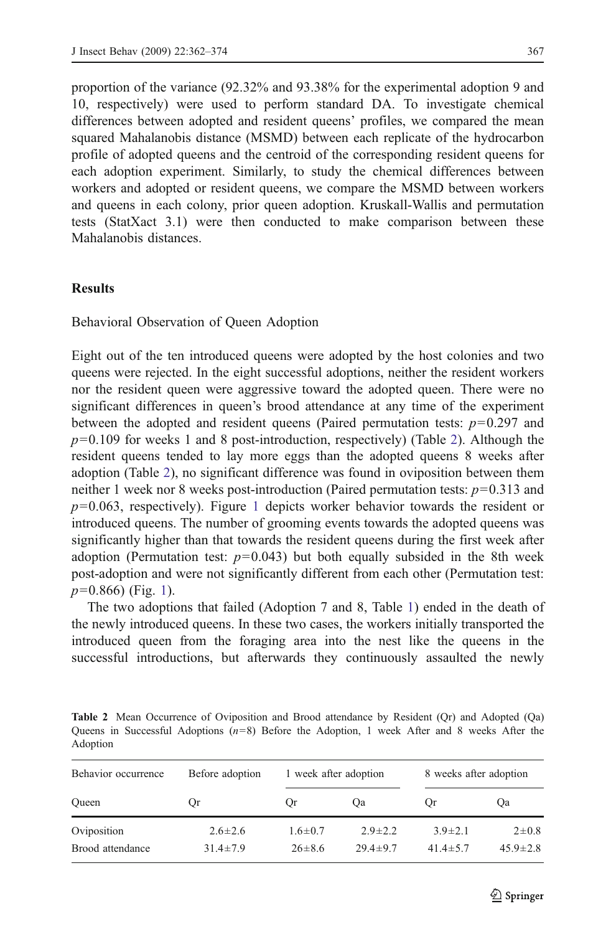proportion of the variance (92.32% and 93.38% for the experimental adoption 9 and 10, respectively) were used to perform standard DA. To investigate chemical differences between adopted and resident queens' profiles, we compared the mean squared Mahalanobis distance (MSMD) between each replicate of the hydrocarbon profile of adopted queens and the centroid of the corresponding resident queens for each adoption experiment. Similarly, to study the chemical differences between workers and adopted or resident queens, we compare the MSMD between workers and queens in each colony, prior queen adoption. Kruskall-Wallis and permutation tests (StatXact 3.1) were then conducted to make comparison between these Mahalanobis distances.

## **Results**

Behavioral Observation of Queen Adoption

Eight out of the ten introduced queens were adopted by the host colonies and two queens were rejected. In the eight successful adoptions, neither the resident workers nor the resident queen were aggressive toward the adopted queen. There were no significant differences in queen's brood attendance at any time of the experiment between the adopted and resident queens (Paired permutation tests:  $p=0.297$  and  $p=0.109$  for weeks 1 and 8 post-introduction, respectively) (Table 2). Although the resident queens tended to lay more eggs than the adopted queens 8 weeks after adoption (Table 2), no significant difference was found in oviposition between them neither 1 week nor 8 weeks post-introduction (Paired permutation tests:  $p=0.313$  and  $p=0.063$ , respectively). Figure [1](#page-6-0) depicts worker behavior towards the resident or introduced queens. The number of grooming events towards the adopted queens was significantly higher than that towards the resident queens during the first week after adoption (Permutation test:  $p=0.043$ ) but both equally subsided in the 8th week post-adoption and were not significantly different from each other (Permutation test:  $p=0.866$ ) (Fig. [1](#page-6-0)).

The two adoptions that failed (Adoption 7 and 8, Table [1\)](#page-3-0) ended in the death of the newly introduced queens. In these two cases, the workers initially transported the introduced queen from the foraging area into the nest like the queens in the successful introductions, but afterwards they continuously assaulted the newly

Table 2 Mean Occurrence of Oviposition and Brood attendance by Resident (Qr) and Adopted (Qa) Queens in Successful Adoptions  $(n=8)$  Before the Adoption, 1 week After and 8 weeks After the Adoption

| Behavior occurrence | Before adoption | 1 week after adoption |                | 8 weeks after adoption |                |
|---------------------|-----------------|-----------------------|----------------|------------------------|----------------|
| Oueen               | Or              | <b>Or</b>             | <b>Oa</b>      | <b>Or</b>              | <b>Oa</b>      |
| Oviposition         | $2.6 \pm 2.6$   | $1.6 \pm 0.7$         | $2.9 \pm 2.2$  | $3.9 \pm 2.1$          | $2 \pm 0.8$    |
| Brood attendance    | $31.4 \pm 7.9$  | $26 \pm 8.6$          | $29.4 \pm 9.7$ | $41.4 \pm 5.7$         | $45.9 \pm 2.8$ |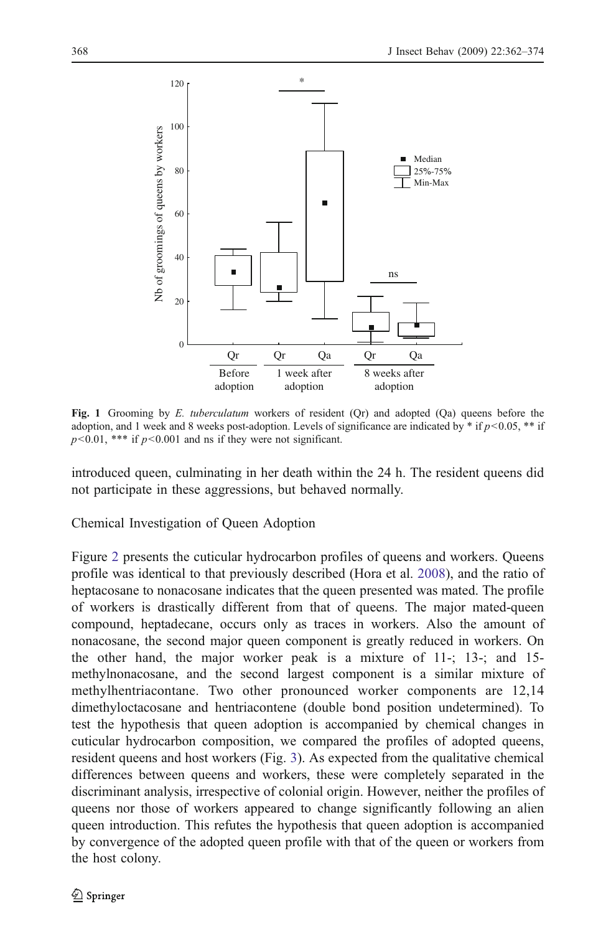<span id="page-6-0"></span>

Fig. 1 Grooming by E. tuberculatum workers of resident (Qr) and adopted (Qa) queens before the adoption, and 1 week and 8 weeks post-adoption. Levels of significance are indicated by  $*$  if  $p<0.05$ ,  $**$  if  $p<0.01$ , \*\*\* if  $p<0.001$  and ns if they were not significant.

introduced queen, culminating in her death within the 24 h. The resident queens did not participate in these aggressions, but behaved normally.

Chemical Investigation of Queen Adoption

Figure [2](#page-7-0) presents the cuticular hydrocarbon profiles of queens and workers. Queens profile was identical to that previously described (Hora et al. [2008](#page-11-0)), and the ratio of heptacosane to nonacosane indicates that the queen presented was mated. The profile of workers is drastically different from that of queens. The major mated-queen compound, heptadecane, occurs only as traces in workers. Also the amount of nonacosane, the second major queen component is greatly reduced in workers. On the other hand, the major worker peak is a mixture of 11-; 13-; and 15 methylnonacosane, and the second largest component is a similar mixture of methylhentriacontane. Two other pronounced worker components are 12,14 dimethyloctacosane and hentriacontene (double bond position undetermined). To test the hypothesis that queen adoption is accompanied by chemical changes in cuticular hydrocarbon composition, we compared the profiles of adopted queens, resident queens and host workers (Fig. [3](#page-8-0)). As expected from the qualitative chemical differences between queens and workers, these were completely separated in the discriminant analysis, irrespective of colonial origin. However, neither the profiles of queens nor those of workers appeared to change significantly following an alien queen introduction. This refutes the hypothesis that queen adoption is accompanied by convergence of the adopted queen profile with that of the queen or workers from the host colony.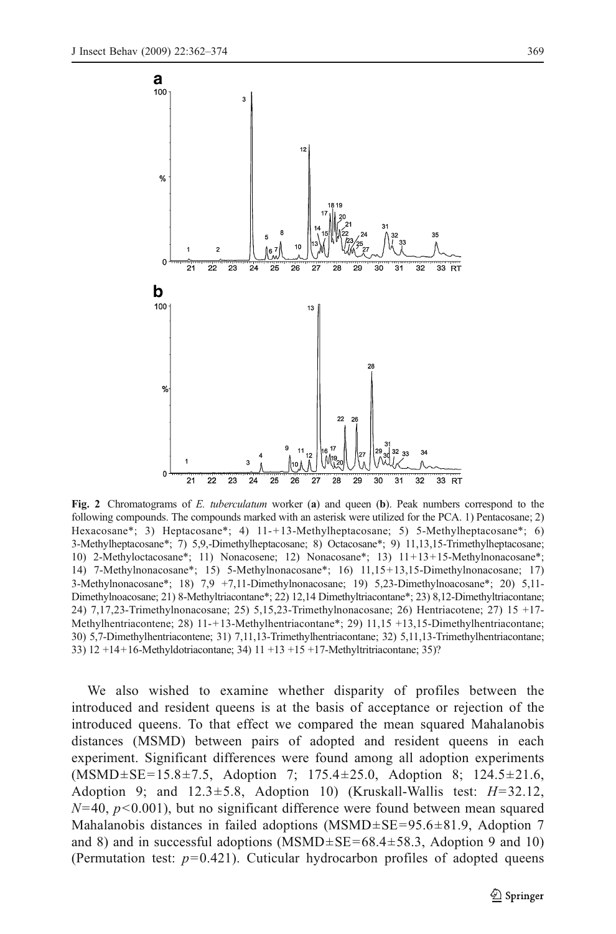<span id="page-7-0"></span>

Fig. 2 Chromatograms of E. tuberculatum worker (a) and queen (b). Peak numbers correspond to the following compounds. The compounds marked with an asterisk were utilized for the PCA. 1) Pentacosane; 2) Hexacosane\*; 3) Heptacosane\*; 4) 11-+13-Methylheptacosane; 5) 5-Methylheptacosane\*; 6) 3-Methylheptacosane\*; 7) 5,9,-Dimethylheptacosane; 8) Octacosane\*; 9) 11,13,15-Trimethylheptacosane; 10) 2-Methyloctacosane\*; 11) Nonacosene; 12) Nonacosane\*; 13) 11+13+15-Methylnonacosane\*; 14) 7-Methylnonacosane\*; 15) 5-Methylnonacosane\*; 16) 11,15+13,15-Dimethylnonacosane; 17) 3-Methylnonacosane\*; 18) 7,9 +7,11-Dimethylnonacosane; 19) 5,23-Dimethylnoacosane\*; 20) 5,11- Dimethylnoacosane; 21) 8-Methyltriacontane\*; 22) 12,14 Dimethyltriacontane\*; 23) 8,12-Dimethyltriacontane; 24) 7,17,23-Trimethylnonacosane; 25) 5,15,23-Trimethylnonacosane; 26) Hentriacotene; 27) 15 +17- Methylhentriacontene; 28) 11-+13-Methylhentriacontane\*; 29) 11,15 +13,15-Dimethylhentriacontane; 30) 5,7-Dimethylhentriacontene; 31) 7,11,13-Trimethylhentriacontane; 32) 5,11,13-Trimethylhentriacontane; 33) 12 +14+16-Methyldotriacontane; 34) 11 +13 +15 +17-Methyltritriacontane; 35)?

We also wished to examine whether disparity of profiles between the introduced and resident queens is at the basis of acceptance or rejection of the introduced queens. To that effect we compared the mean squared Mahalanobis distances (MSMD) between pairs of adopted and resident queens in each experiment. Significant differences were found among all adoption experiments (MSMD±SE=15.8±7.5, Adoption 7; 175.4±25.0, Adoption 8; 124.5±21.6, Adoption 9; and  $12.3 \pm 5.8$ , Adoption 10) (Kruskall-Wallis test:  $H=32.12$ ,  $N=40, p<0.001$ , but no significant difference were found between mean squared Mahalanobis distances in failed adoptions  $(MSMD \pm SE = 95.6 \pm 81.9,$  Adoption 7 and 8) and in successful adoptions (MSMD $\pm$ SE=68.4 $\pm$ 58.3, Adoption 9 and 10) (Permutation test:  $p=0.421$ ). Cuticular hydrocarbon profiles of adopted queens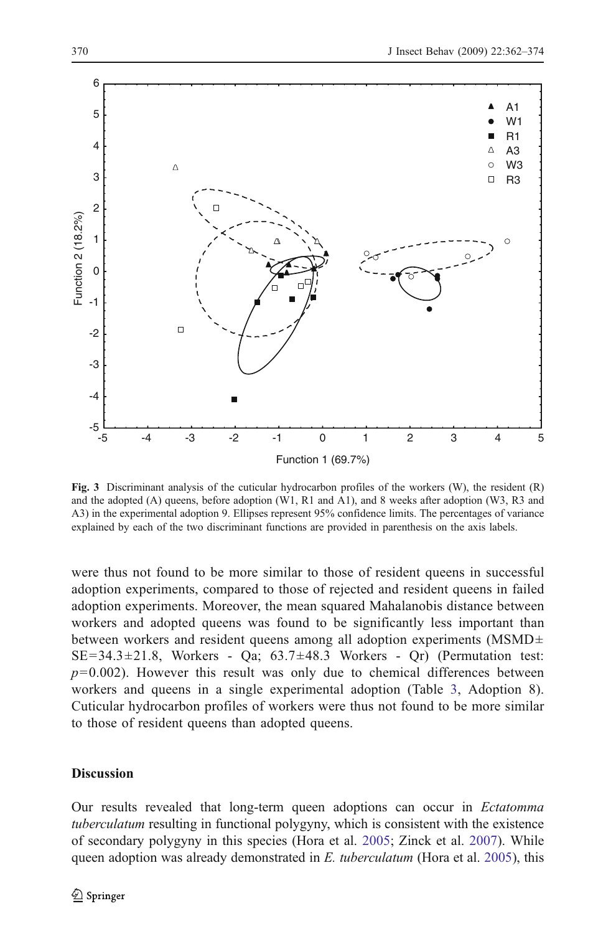<span id="page-8-0"></span>

Fig. 3 Discriminant analysis of the cuticular hydrocarbon profiles of the workers  $(W)$ , the resident  $(R)$ and the adopted (A) queens, before adoption (W1, R1 and A1), and 8 weeks after adoption (W3, R3 and A3) in the experimental adoption 9. Ellipses represent 95% confidence limits. The percentages of variance explained by each of the two discriminant functions are provided in parenthesis on the axis labels.

were thus not found to be more similar to those of resident queens in successful adoption experiments, compared to those of rejected and resident queens in failed adoption experiments. Moreover, the mean squared Mahalanobis distance between workers and adopted queens was found to be significantly less important than between workers and resident queens among all adoption experiments (MSMD±  $SE=34.3\pm21.8$ , Workers - Qa;  $63.7\pm48.3$  Workers - Qr) (Permutation test:  $p=0.002$ ). However this result was only due to chemical differences between workers and queens in a single experimental adoption (Table [3,](#page-9-0) Adoption 8). Cuticular hydrocarbon profiles of workers were thus not found to be more similar to those of resident queens than adopted queens.

# **Discussion**

Our results revealed that long-term queen adoptions can occur in Ectatomma tuberculatum resulting in functional polygyny, which is consistent with the existence of secondary polygyny in this species (Hora et al. [2005;](#page-11-0) Zinck et al. [2007](#page-12-0)). While queen adoption was already demonstrated in E. tuberculatum (Hora et al. [2005\)](#page-11-0), this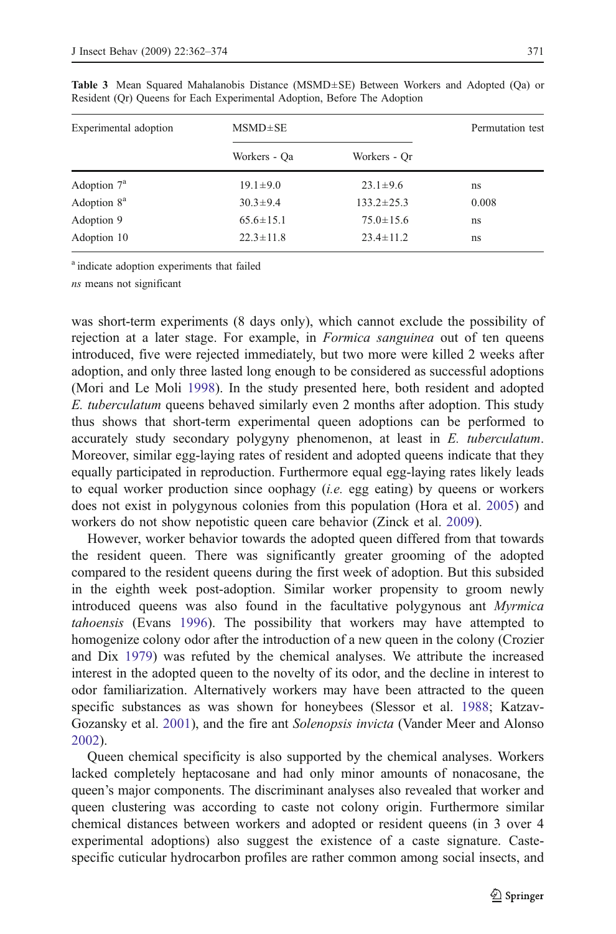| Experimental adoption   | $MSMD \pm SE$   | Permutation test |       |
|-------------------------|-----------------|------------------|-------|
|                         | Workers - Oa    | Workers - Or     |       |
| Adoption $7^a$          | $19.1 \pm 9.0$  | $23.1 \pm 9.6$   | ns    |
| Adoption 8 <sup>a</sup> | $30.3 \pm 9.4$  | $133.2 \pm 25.3$ | 0.008 |
| Adoption 9              | $65.6 \pm 15.1$ | $75.0 \pm 15.6$  | ns    |
| Adoption 10             | $22.3 \pm 11.8$ | $23.4 \pm 11.2$  | ns    |

<span id="page-9-0"></span>Table 3 Mean Squared Mahalanobis Distance (MSMD±SE) Between Workers and Adopted (Qa) or Resident (Qr) Queens for Each Experimental Adoption, Before The Adoption

<sup>a</sup> indicate adoption experiments that failed

ns means not significant

was short-term experiments (8 days only), which cannot exclude the possibility of rejection at a later stage. For example, in *Formica sanguinea* out of ten queens introduced, five were rejected immediately, but two more were killed 2 weeks after adoption, and only three lasted long enough to be considered as successful adoptions (Mori and Le Moli [1998\)](#page-12-0). In the study presented here, both resident and adopted E. tuberculatum queens behaved similarly even 2 months after adoption. This study thus shows that short-term experimental queen adoptions can be performed to accurately study secondary polygyny phenomenon, at least in E. tuberculatum. Moreover, similar egg-laying rates of resident and adopted queens indicate that they equally participated in reproduction. Furthermore equal egg-laying rates likely leads to equal worker production since oophagy (*i.e.* egg eating) by queens or workers does not exist in polygynous colonies from this population (Hora et al. [2005](#page-11-0)) and workers do not show nepotistic queen care behavior (Zinck et al. [2009\)](#page-12-0).

However, worker behavior towards the adopted queen differed from that towards the resident queen. There was significantly greater grooming of the adopted compared to the resident queens during the first week of adoption. But this subsided in the eighth week post-adoption. Similar worker propensity to groom newly introduced queens was also found in the facultative polygynous ant Myrmica tahoensis (Evans [1996](#page-11-0)). The possibility that workers may have attempted to homogenize colony odor after the introduction of a new queen in the colony (Crozier and Dix [1979](#page-11-0)) was refuted by the chemical analyses. We attribute the increased interest in the adopted queen to the novelty of its odor, and the decline in interest to odor familiarization. Alternatively workers may have been attracted to the queen specific substances as was shown for honeybees (Slessor et al. [1988](#page-12-0); Katzav-Gozansky et al. [2001](#page-11-0)), and the fire ant Solenopsis invicta (Vander Meer and Alonso [2002\)](#page-12-0).

Queen chemical specificity is also supported by the chemical analyses. Workers lacked completely heptacosane and had only minor amounts of nonacosane, the queen's major components. The discriminant analyses also revealed that worker and queen clustering was according to caste not colony origin. Furthermore similar chemical distances between workers and adopted or resident queens (in 3 over 4 experimental adoptions) also suggest the existence of a caste signature. Castespecific cuticular hydrocarbon profiles are rather common among social insects, and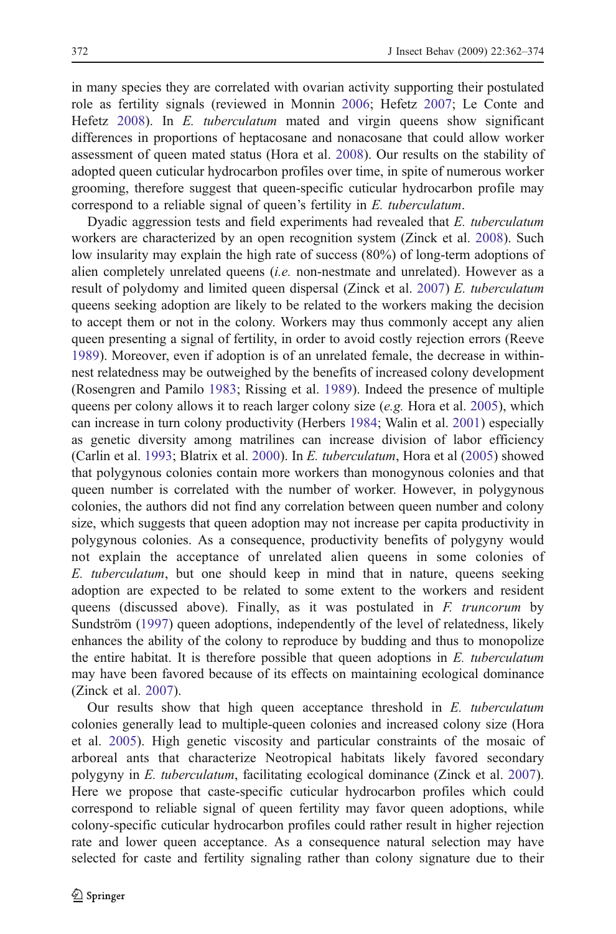in many species they are correlated with ovarian activity supporting their postulated role as fertility signals (reviewed in Monnin [2006;](#page-12-0) Hefetz [2007;](#page-11-0) Le Conte and Hefetz [2008\)](#page-11-0). In E. tuberculatum mated and virgin queens show significant differences in proportions of heptacosane and nonacosane that could allow worker assessment of queen mated status (Hora et al. [2008\)](#page-11-0). Our results on the stability of adopted queen cuticular hydrocarbon profiles over time, in spite of numerous worker grooming, therefore suggest that queen-specific cuticular hydrocarbon profile may correspond to a reliable signal of queen's fertility in E. tuberculatum.

Dyadic aggression tests and field experiments had revealed that E. tuberculatum workers are characterized by an open recognition system (Zinck et al. [2008](#page-12-0)). Such low insularity may explain the high rate of success (80%) of long-term adoptions of alien completely unrelated queens (i.e. non-nestmate and unrelated). However as a result of polydomy and limited queen dispersal (Zinck et al. [2007\)](#page-12-0) E. tuberculatum queens seeking adoption are likely to be related to the workers making the decision to accept them or not in the colony. Workers may thus commonly accept any alien queen presenting a signal of fertility, in order to avoid costly rejection errors (Reeve [1989\)](#page-12-0). Moreover, even if adoption is of an unrelated female, the decrease in withinnest relatedness may be outweighed by the benefits of increased colony development (Rosengren and Pamilo [1983;](#page-12-0) Rissing et al. [1989](#page-12-0)). Indeed the presence of multiple queens per colony allows it to reach larger colony size (e.g. Hora et al. [2005\)](#page-11-0), which can increase in turn colony productivity (Herbers [1984](#page-11-0); Walin et al. [2001\)](#page-12-0) especially as genetic diversity among matrilines can increase division of labor efficiency (Carlin et al. [1993](#page-11-0); Blatrix et al. [2000\)](#page-11-0). In E. tuberculatum, Hora et al [\(2005](#page-11-0)) showed that polygynous colonies contain more workers than monogynous colonies and that queen number is correlated with the number of worker. However, in polygynous colonies, the authors did not find any correlation between queen number and colony size, which suggests that queen adoption may not increase per capita productivity in polygynous colonies. As a consequence, productivity benefits of polygyny would not explain the acceptance of unrelated alien queens in some colonies of E. tuberculatum, but one should keep in mind that in nature, queens seeking adoption are expected to be related to some extent to the workers and resident queens (discussed above). Finally, as it was postulated in F. truncorum by Sundström [\(1997](#page-12-0)) queen adoptions, independently of the level of relatedness, likely enhances the ability of the colony to reproduce by budding and thus to monopolize the entire habitat. It is therefore possible that queen adoptions in E. tuberculatum may have been favored because of its effects on maintaining ecological dominance (Zinck et al. [2007\)](#page-12-0).

Our results show that high queen acceptance threshold in E. tuberculatum colonies generally lead to multiple-queen colonies and increased colony size (Hora et al. [2005\)](#page-11-0). High genetic viscosity and particular constraints of the mosaic of arboreal ants that characterize Neotropical habitats likely favored secondary polygyny in E. tuberculatum, facilitating ecological dominance (Zinck et al. [2007\)](#page-12-0). Here we propose that caste-specific cuticular hydrocarbon profiles which could correspond to reliable signal of queen fertility may favor queen adoptions, while colony-specific cuticular hydrocarbon profiles could rather result in higher rejection rate and lower queen acceptance. As a consequence natural selection may have selected for caste and fertility signaling rather than colony signature due to their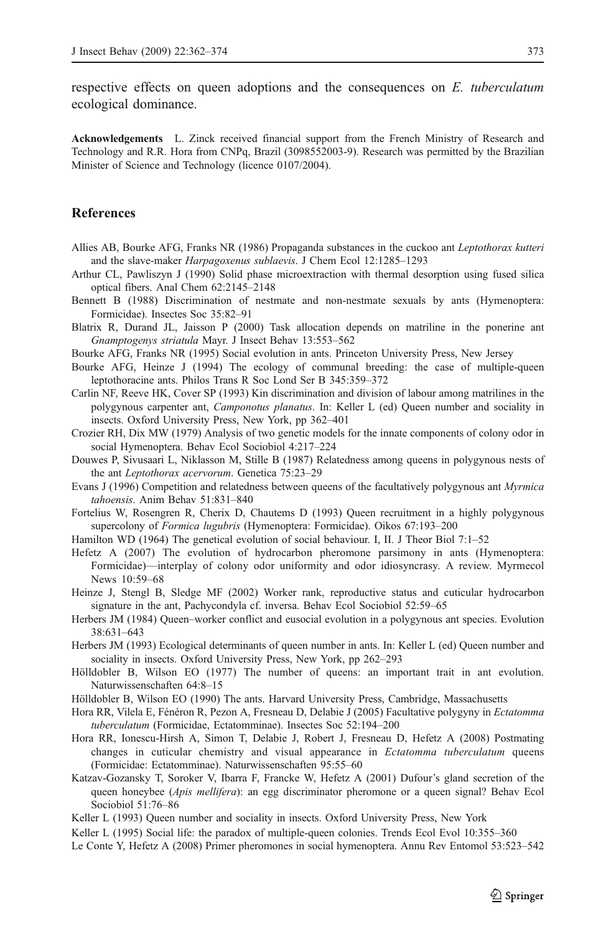<span id="page-11-0"></span>respective effects on queen adoptions and the consequences on  $E$ . tuberculatum ecological dominance.

Acknowledgements L. Zinck received financial support from the French Ministry of Research and Technology and R.R. Hora from CNPq, Brazil (3098552003-9). Research was permitted by the Brazilian Minister of Science and Technology (licence 0107/2004).

# References

- Allies AB, Bourke AFG, Franks NR (1986) Propaganda substances in the cuckoo ant Leptothorax kutteri and the slave-maker Harpagoxenus sublaevis. J Chem Ecol 12:1285–1293
- Arthur CL, Pawliszyn J (1990) Solid phase microextraction with thermal desorption using fused silica optical fibers. Anal Chem 62:2145–2148
- Bennett B (1988) Discrimination of nestmate and non-nestmate sexuals by ants (Hymenoptera: Formicidae). Insectes Soc 35:82–91
- Blatrix R, Durand JL, Jaisson P (2000) Task allocation depends on matriline in the ponerine ant Gnamptogenys striatula Mayr. J Insect Behav 13:553–562
- Bourke AFG, Franks NR (1995) Social evolution in ants. Princeton University Press, New Jersey
- Bourke AFG, Heinze J (1994) The ecology of communal breeding: the case of multiple-queen leptothoracine ants. Philos Trans R Soc Lond Ser B 345:359–372
- Carlin NF, Reeve HK, Cover SP (1993) Kin discrimination and division of labour among matrilines in the polygynous carpenter ant, Camponotus planatus. In: Keller L (ed) Queen number and sociality in insects. Oxford University Press, New York, pp 362–401
- Crozier RH, Dix MW (1979) Analysis of two genetic models for the innate components of colony odor in social Hymenoptera. Behav Ecol Sociobiol 4:217–224
- Douwes P, Sivusaari L, Niklasson M, Stille B (1987) Relatedness among queens in polygynous nests of the ant Leptothorax acervorum. Genetica 75:23–29
- Evans J (1996) Competition and relatedness between queens of the facultatively polygynous ant Myrmica tahoensis. Anim Behav 51:831–840
- Fortelius W, Rosengren R, Cherix D, Chautems D (1993) Queen recruitment in a highly polygynous supercolony of Formica lugubris (Hymenoptera: Formicidae). Oikos 67:193–200
- Hamilton WD (1964) The genetical evolution of social behaviour. I, II. J Theor Biol 7:1–52
- Hefetz A (2007) The evolution of hydrocarbon pheromone parsimony in ants (Hymenoptera: Formicidae)—interplay of colony odor uniformity and odor idiosyncrasy. A review. Myrmecol News 10:59–68
- Heinze J, Stengl B, Sledge MF (2002) Worker rank, reproductive status and cuticular hydrocarbon signature in the ant, Pachycondyla cf. inversa. Behav Ecol Sociobiol 52:59–65
- Herbers JM (1984) Queen–worker conflict and eusocial evolution in a polygynous ant species. Evolution 38:631–643
- Herbers JM (1993) Ecological determinants of queen number in ants. In: Keller L (ed) Queen number and sociality in insects. Oxford University Press, New York, pp 262–293
- Hölldobler B, Wilson EO (1977) The number of queens: an important trait in ant evolution. Naturwissenschaften 64:8–15
- Hölldobler B, Wilson EO (1990) The ants. Harvard University Press, Cambridge, Massachusetts
- Hora RR, Vilela E, Fénéron R, Pezon A, Fresneau D, Delabie J (2005) Facultative polygyny in Ectatomma tuberculatum (Formicidae, Ectatomminae). Insectes Soc 52:194–200
- Hora RR, Ionescu-Hirsh A, Simon T, Delabie J, Robert J, Fresneau D, Hefetz A (2008) Postmating changes in cuticular chemistry and visual appearance in Ectatomma tuberculatum queens (Formicidae: Ectatomminae). Naturwissenschaften 95:55–60
- Katzav-Gozansky T, Soroker V, Ibarra F, Francke W, Hefetz A (2001) Dufour's gland secretion of the queen honeybee (Apis mellifera): an egg discriminator pheromone or a queen signal? Behav Ecol Sociobiol 51:76–86
- Keller L (1993) Queen number and sociality in insects. Oxford University Press, New York
- Keller L (1995) Social life: the paradox of multiple-queen colonies. Trends Ecol Evol 10:355–360
- Le Conte Y, Hefetz A (2008) Primer pheromones in social hymenoptera. Annu Rev Entomol 53:523–542